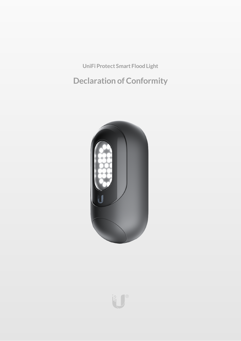**UniFi Protect Smart Flood Light**

**Declaration of Conformity**



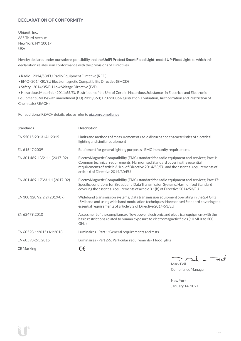# **DECLARATION OF CONFORMITY**

Ubiquiti Inc. 685 Third Avenue NewYork, NY 10017 USA

Hereby declares under our sole responsibility thatthe**UniFiProtect Smart Flood Light**, model **UP-FloodLight**, to which this declaration relates, is in conformancewith the provisions of Directives

- Radio 2014/53/EU Radio Equipment Directive (RED)
- EMC- 2014/30/EU Electromagnetic Compatibility Directive (EMCD)
- Safety 2014/35/EU Low Voltage Directive (LVD)

• HazardousMaterials - 2011/65/EU Restriction oftheUse ofCertain Hazardous Substances in Electrical and Electronic Equipment(RoHS) with amendment(EU) 2015/863; 1907/2006 Registration, Evaluation, Authorization and Restriction of Chemicals (REACH)

For additional REACH details, please refer to [ui.com/compliance](https://www.ui.com/compliance/)

| <b>Standards</b>               | <b>Description</b>                                                                                                                                                                                                                                                                                   |
|--------------------------------|------------------------------------------------------------------------------------------------------------------------------------------------------------------------------------------------------------------------------------------------------------------------------------------------------|
| EN 55015:2013+A1:2015          | Limits and methods of measurement of radio disturbance characteristics of electrical<br>lighting and similar equipment                                                                                                                                                                               |
| EN 61547:2009                  | Equipment for general lighting purposes - EMC immunity requirements                                                                                                                                                                                                                                  |
| EN 301 489-1 V2.1.1 (2017-02)  | ElectroMagnetic Compatibility (EMC) standard for radio equipment and services; Part 1:<br>Common technical requirements; Harmonised Standard covering the essential<br>requirements of article 3.1(b) of Directive 2014/53/EU and the essential requirements of<br>article 6 of Directive 2014/30/EU |
| EN 301 489-17 V3.1.1 (2017-02) | ElectroMagnetic Compatibility (EMC) standard for radio equipment and services; Part 17:<br>Specific conditions for Broadband Data Transmission Systems; Harmonised Standard<br>covering the essential requirements of article 3.1(b) of Directive 2014/53/EU                                         |
| EN 300 328 V2.2.2 (2019-07)    | Wideband transmission systems; Data transmission equipment operating in the 2,4 GHz<br>ISM band and using wide band modulation techniques; Harmonised Standard covering the<br>essential requirements of article 3.2 of Directive 2014/53/EU                                                         |
| EN 62479:2010                  | Assessment of the compliance of low power electronic and electrical equipment with the<br>basic restrictions related to human exposure to electromagnetic fields (10 MHz to 300<br>GHz)                                                                                                              |
| EN 60598-1:2015+A1:2018        | Luminaires - Part 1: General requirements and tests                                                                                                                                                                                                                                                  |
| EN 60598-2-5:2015              | Luminaires - Part 2-5: Particular requirements - Floodlights                                                                                                                                                                                                                                         |
| <b>CE</b> Marking              | ce                                                                                                                                                                                                                                                                                                   |

Tak m. Fail

Mark Feil Compliance Manager

NewYork January 14, 2021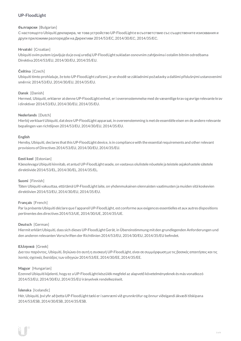# **UP-FloodLight**

## **български** [Bulgarian]

С настоящото Ubiquiti декларира, че това устройство UP-FloodLightе в съответствие със съществените изисквания и други приложими разпоредби на Директиви 2014/53/EC, 2014/30/ЕС, 2014/35/ЕС.

# **Hrvatski** [Croatian]

Ubiquiti ovim putem izjavljuje da je ovaj uređaj UP-FloodLight sukladan osnovnim zahtjevima i ostalim bitnim odredbama Direktiva 2014/53/EU, 2014/30/EU, 2014/35/EU.

# **Čeština** [Czech]

Ubiquititímto prohlašuje, že toto UP-FloodLight zařízení, je ve shodě se základními požadavky a dalšími příslušnými ustanoveními směrnic 2014/53/EU, 2014/30/EU, 2014/35/EU.

# **Dansk** [Danish]

Hermed, Ubiquiti, erklærer atdenneUP-FloodLightenhed, er i overensstemmelse med de væsentlige krav og øvrige relevante krav i direktiver 2014/53/EU, 2014/30/EU, 2014/35/EU.

## **Nederlands** [Dutch]

Hierbij verklaartUbiquiti, datdezeUP-FloodLight apparaat, in overeenstemming is metde essentiële eisen en de andere relevante bepalingen van richtlijnen 2014/53/EU, 2014/30/EU, 2014/35/EU.

## **English**

Hereby, Ubiquiti, declares that this UP-FloodLight device, is in compliance with the essential requirements and other relevant provisions of Directives 2014/53/EU, 2014/30/EU, 2014/35/EU.

## **Eesti keel** [Estonian]

Käesolevaga Ubiquiti kinnitab, et antud UP-FloodLight seade, on vastavus olulistele nõuetele ja teistele asjakohastele sätetele direktiivide2014/53/EL, 2014/30/EL, 2014/35/EL.

## **Suomi** [Finnish]

Täten Ubiquiti vakuuttaa, että tämä UP-FloodLightlaite, on yhdenmukainen olennaisten vaatimusten ja muiden sitä koskevien direktiivien 2014/53/EU, 2014/30/EU, 2014/35/EU.

## **Français** [French]

Par la présente Ubiquiti déclare que l'appareil UP-FloodLight, est conforme aux exigences essentielles et aux autres dispositions pertinentes des directives 2014/53/UE, 2014/30/UE, 2014/35/UE.

## **Deutsch** [German]

HiermiterklärtUbiquiti, dass sich dieses UP-FloodLightGerät, in Übereinstimmung mitden grundlegenden Anforderungen und den anderen relevanten Vorschriften der Richtlinien 2014/53/EU, 2014/30/EU, 2014/35/EU befindet.

## **Ελληνικά** [Greek]

Δια του παρόντος, Ubiquiti, δηλώνει ότι αυτή η συσκευή UP-FloodLight, είναι σεσυµµόρφωση µε τις βασικές απαιτήσεις καιτις λοιπές σχετικές διατάξεις των οδηγιών 2014/53/EE, 2014/30/EE, 2014/35/EE.

## **Magyar** [Hungarian]

Ezennel Ubiquiti kijelenti, hogy ez a UP-FloodLightkészülék megfelel az alapvető követelményeknek és más vonatkozó 2014/53/EU, 2014/30/EU, 2014/35/EU irányelvek rendelkezéseit.

## **Íslenska** [Icelandic]

Hér, Ubiquiti, því yfir að þetta UP-FloodLight tæki er í samræmi við grunnkröfur og önnur viðeigandi ákvæði tilskipana 2014/53/ESB, 2014/30/ESB, 2014/35/ESB.